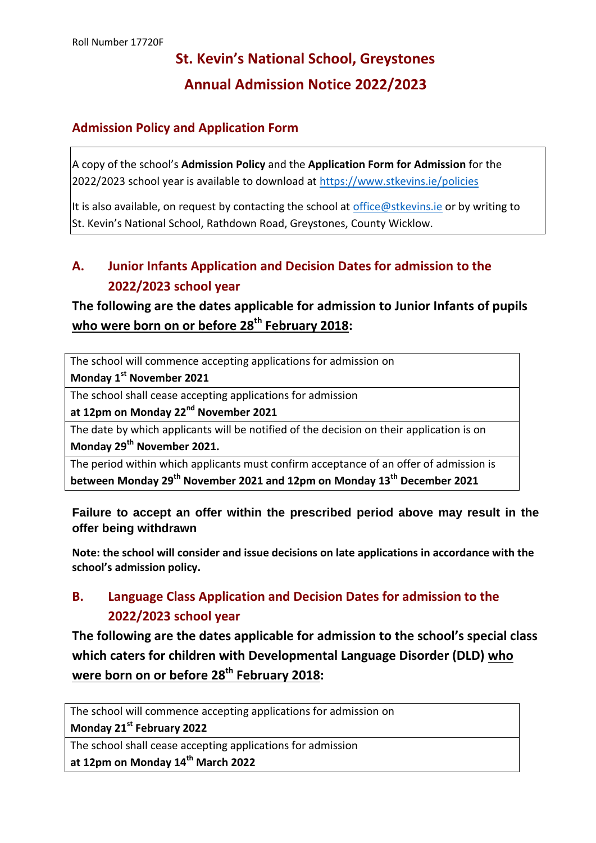# **St. Kevin's National School, Greystones Annual Admission Notice 2022/2023**

#### **Admission Policy and Application Form**

A copy of the school's **Admission Policy** and the **Application Form for Admission** for the 2022/2023 school year is available to download at<https://www.stkevins.ie/policies>

It is also available, on request by contacting the school at [office@stkevins.ie](mailto:office@stkevins.ie) or by writing to St. Kevin's National School, Rathdown Road, Greystones, County Wicklow.

## **A. Junior Infants Application and Decision Dates for admission to the 2022/2023 school year**

## **The following are the dates applicable for admission to Junior Infants of pupils who were born on or before 28th February 2018:**

The school will commence accepting applications for admission on

**Monday 1 st November 2021**

The school shall cease accepting applications for admission

**at 12pm on Monday 22nd November 2021**

The date by which applicants will be notified of the decision on their application is on **Monday 29th November 2021.**

The period within which applicants must confirm acceptance of an offer of admission is **between Monday 29th November 2021 and 12pm on Monday 13th December 2021**

#### **Failure to accept an offer within the prescribed period above may result in the offer being withdrawn**

**Note: the school will consider and issue decisions on late applications in accordance with the school's admission policy.**

## **B. Language Class Application and Decision Dates for admission to the 2022/2023 school year**

**The following are the dates applicable for admission to the school's special class which caters for children with Developmental Language Disorder (DLD) who were born on or before 28th February 2018:**

The school will commence accepting applications for admission on **Monday 21st February 2022**

The school shall cease accepting applications for admission

**at 12pm on Monday 14th March 2022**